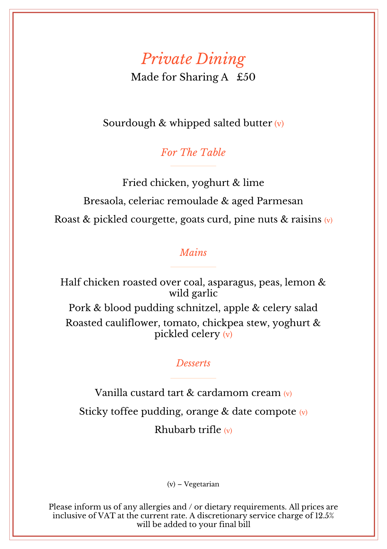# *Private Dining*

Made for Sharing A £50

Sourdough & whipped salted butter (v)

*For The Table*

Fried chicken, yoghurt & lime Bresaola, celeriac remoulade & aged Parmesan Roast & pickled courgette, goats curd, pine nuts & raisins  $(v)$ 

#### *Mains*

Half chicken roasted over coal, asparagus, peas, lemon & wild garlic Pork & blood pudding schnitzel, apple & celery salad Roasted cauliflower, tomato, chickpea stew, yoghurt & pickled celery (v)

#### *Desserts*

Vanilla custard tart & cardamom cream (v) Sticky toffee pudding, orange & date compote (v) Rhubarb trifle (v)

(v) – Vegetarian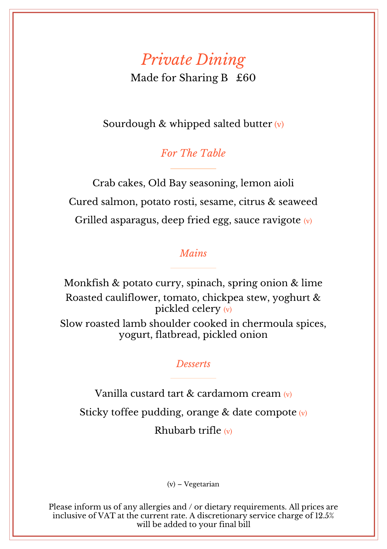# *Private Dining*

Made for Sharing B £60

Sourdough & whipped salted butter  $(v)$ 

*For The Table*

Crab cakes, Old Bay seasoning, lemon aioli Cured salmon, potato rosti, sesame, citrus & seaweed Grilled asparagus, deep fried egg, sauce ravigote  $(v)$ 

#### *Mains*

Monkfish & potato curry, spinach, spring onion & lime Roasted cauliflower, tomato, chickpea stew, yoghurt & pickled celery (v) Slow roasted lamb shoulder cooked in chermoula spices, yogurt, flatbread, pickled onion

#### *Desserts*

Vanilla custard tart & cardamom cream (v) Sticky toffee pudding, orange & date compote  $(v)$ Rhubarb trifle (v)

(v) – Vegetarian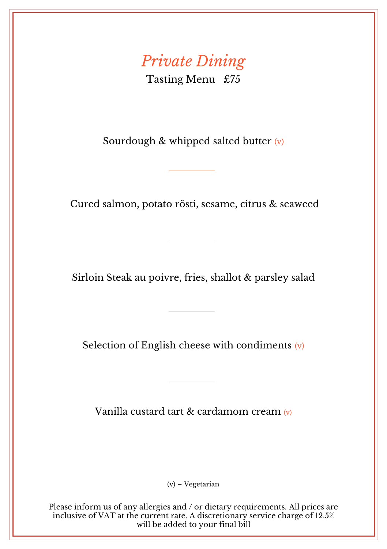### *Private Dining* Tasting Menu £75

Sourdough  $&$  whipped salted butter  $(v)$ 

Cured salmon, potato rösti, sesame, citrus & seaweed

Sirloin Steak au poivre, fries, shallot & parsley salad

Selection of English cheese with condiments  $(v)$ 

Vanilla custard tart & cardamom cream (v)

(v) – Vegetarian